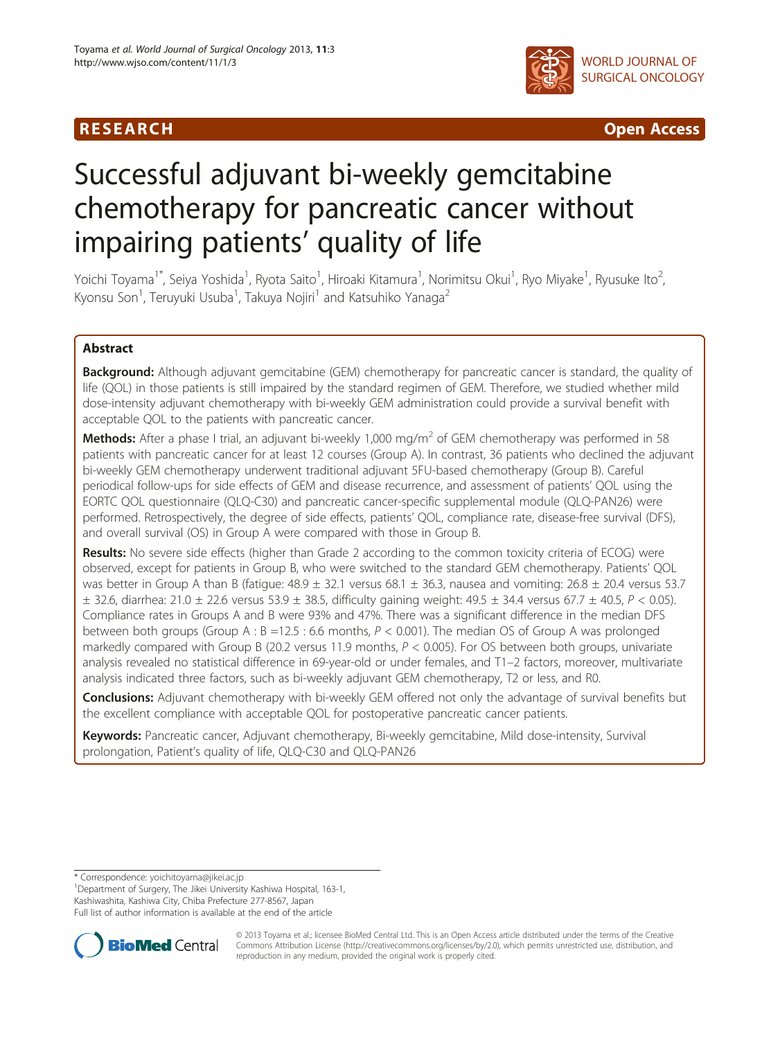

R E S EAR CH Open Access

# Successful adjuvant bi-weekly gemcitabine chemotherapy for pancreatic cancer without impairing patients' quality of life

Yoichi Toyama<sup>1\*</sup>, Seiya Yoshida<sup>1</sup>, Ryota Saito<sup>1</sup>, Hiroaki Kitamura<sup>1</sup>, Norimitsu Okui<sup>1</sup>, Ryo Miyake<sup>1</sup>, Ryusuke Ito<sup>2</sup> , Kyonsu Son<sup>1</sup>, Teruyuki Usuba<sup>1</sup>, Takuya Nojiri<sup>1</sup> and Katsuhiko Yanaga<sup>2</sup>

# Abstract

Background: Although adjuvant gemcitabine (GEM) chemotherapy for pancreatic cancer is standard, the quality of life (QOL) in those patients is still impaired by the standard regimen of GEM. Therefore, we studied whether mild dose-intensity adjuvant chemotherapy with bi-weekly GEM administration could provide a survival benefit with acceptable QOL to the patients with pancreatic cancer.

**Methods:** After a phase I trial, an adjuvant bi-weekly 1,000 mg/m<sup>2</sup> of GEM chemotherapy was performed in 58 patients with pancreatic cancer for at least 12 courses (Group A). In contrast, 36 patients who declined the adjuvant bi-weekly GEM chemotherapy underwent traditional adjuvant 5FU-based chemotherapy (Group B). Careful periodical follow-ups for side effects of GEM and disease recurrence, and assessment of patients' QOL using the EORTC QOL questionnaire (QLQ-C30) and pancreatic cancer-specific supplemental module (QLQ-PAN26) were performed. Retrospectively, the degree of side effects, patients' QOL, compliance rate, disease-free survival (DFS), and overall survival (OS) in Group A were compared with those in Group B.

Results: No severe side effects (higher than Grade 2 according to the common toxicity criteria of ECOG) were observed, except for patients in Group B, who were switched to the standard GEM chemotherapy. Patients' QOL was better in Group A than B (fatigue:  $48.9 \pm 32.1$  versus 68.1  $\pm$  36.3, nausea and vomiting: 26.8  $\pm$  20.4 versus 53.7  $\pm$  32.6, diarrhea: 21.0  $\pm$  22.6 versus 53.9  $\pm$  38.5, difficulty gaining weight: 49.5  $\pm$  34.4 versus 67.7  $\pm$  40.5,  $P$  < 0.05). Compliance rates in Groups A and B were 93% and 47%. There was a significant difference in the median DFS between both groups (Group A :  $B = 12.5$  : 6.6 months,  $P < 0.001$ ). The median OS of Group A was prolonged markedly compared with Group B (20.2 versus 11.9 months,  $P < 0.005$ ). For OS between both groups, univariate analysis revealed no statistical difference in 69-year-old or under females, and T1–2 factors, moreover, multivariate analysis indicated three factors, such as bi-weekly adjuvant GEM chemotherapy, T2 or less, and R0.

**Conclusions:** Adjuvant chemotherapy with bi-weekly GEM offered not only the advantage of survival benefits but the excellent compliance with acceptable QOL for postoperative pancreatic cancer patients.

Keywords: Pancreatic cancer, Adjuvant chemotherapy, Bi-weekly gemcitabine, Mild dose-intensity, Survival prolongation, Patient's quality of life, QLQ-C30 and QLQ-PAN26

\* Correspondence: [yoichitoyama@jikei.ac.jp](mailto:yoichitoyama@jikei.ac.jp) <sup>1</sup>

<sup>1</sup>Department of Surgery, The Jikei University Kashiwa Hospital, 163-1, Kashiwashita, Kashiwa City, Chiba Prefecture 277-8567, Japan Full list of author information is available at the end of the article



© 2013 Toyama et al.; licensee BioMed Central Ltd. This is an Open Access article distributed under the terms of the Creative Commons Attribution License [\(http://creativecommons.org/licenses/by/2.0\)](http://creativecommons.org/licenses/by/2.0), which permits unrestricted use, distribution, and reproduction in any medium, provided the original work is properly cited.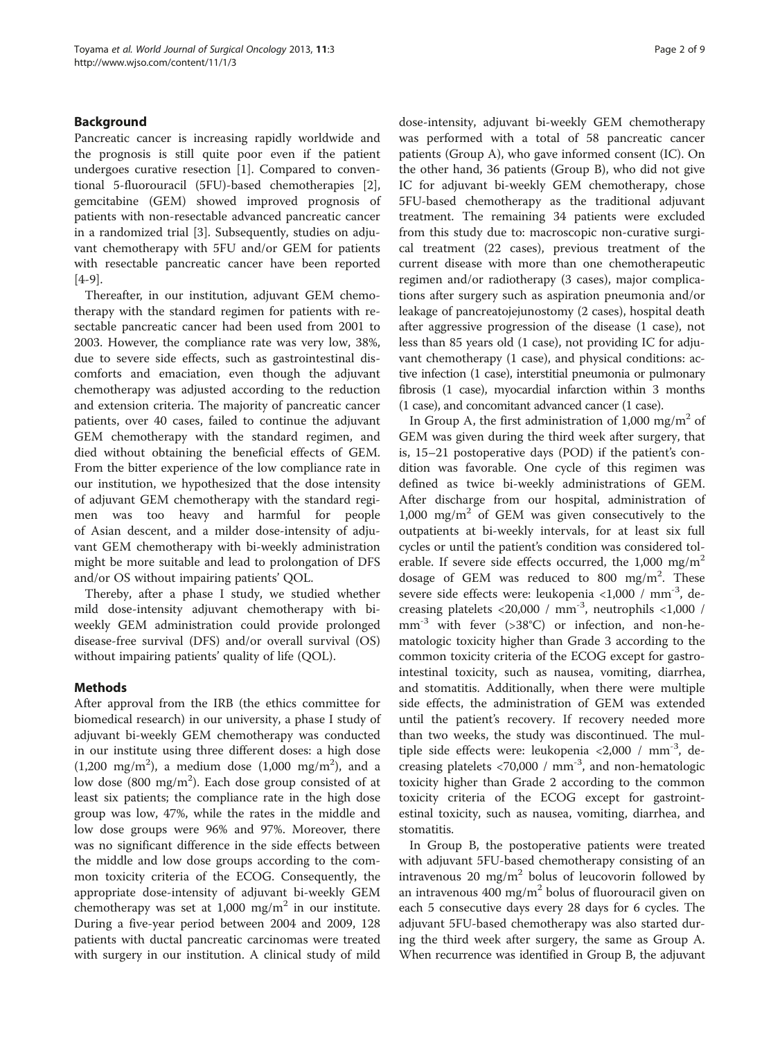# Background

Pancreatic cancer is increasing rapidly worldwide and the prognosis is still quite poor even if the patient undergoes curative resection [[1\]](#page-6-0). Compared to conventional 5-fluorouracil (5FU)-based chemotherapies [\[2](#page-6-0)], gemcitabine (GEM) showed improved prognosis of patients with non-resectable advanced pancreatic cancer in a randomized trial [[3\]](#page-6-0). Subsequently, studies on adjuvant chemotherapy with 5FU and/or GEM for patients with resectable pancreatic cancer have been reported [[4-9](#page-6-0)].

Thereafter, in our institution, adjuvant GEM chemotherapy with the standard regimen for patients with resectable pancreatic cancer had been used from 2001 to 2003. However, the compliance rate was very low, 38%, due to severe side effects, such as gastrointestinal discomforts and emaciation, even though the adjuvant chemotherapy was adjusted according to the reduction and extension criteria. The majority of pancreatic cancer patients, over 40 cases, failed to continue the adjuvant GEM chemotherapy with the standard regimen, and died without obtaining the beneficial effects of GEM. From the bitter experience of the low compliance rate in our institution, we hypothesized that the dose intensity of adjuvant GEM chemotherapy with the standard regimen was too heavy and harmful for people of Asian descent, and a milder dose-intensity of adjuvant GEM chemotherapy with bi-weekly administration might be more suitable and lead to prolongation of DFS and/or OS without impairing patients' QOL.

Thereby, after a phase I study, we studied whether mild dose-intensity adjuvant chemotherapy with biweekly GEM administration could provide prolonged disease-free survival (DFS) and/or overall survival (OS) without impairing patients' quality of life (QOL).

# Methods

After approval from the IRB (the ethics committee for biomedical research) in our university, a phase I study of adjuvant bi-weekly GEM chemotherapy was conducted in our institute using three different doses: a high dose  $(1,200 \text{ mg/m}^2)$ , a medium dose  $(1,000 \text{ mg/m}^2)$ , and a low dose (800 mg/m<sup>2</sup>). Each dose group consisted of at least six patients; the compliance rate in the high dose group was low, 47%, while the rates in the middle and low dose groups were 96% and 97%. Moreover, there was no significant difference in the side effects between the middle and low dose groups according to the common toxicity criteria of the ECOG. Consequently, the appropriate dose-intensity of adjuvant bi-weekly GEM chemotherapy was set at  $1,000$  mg/m<sup>2</sup> in our institute. During a five-year period between 2004 and 2009, 128 patients with ductal pancreatic carcinomas were treated with surgery in our institution. A clinical study of mild dose-intensity, adjuvant bi-weekly GEM chemotherapy was performed with a total of 58 pancreatic cancer patients (Group A), who gave informed consent (IC). On the other hand, 36 patients (Group B), who did not give IC for adjuvant bi-weekly GEM chemotherapy, chose 5FU-based chemotherapy as the traditional adjuvant treatment. The remaining 34 patients were excluded from this study due to: macroscopic non-curative surgical treatment (22 cases), previous treatment of the current disease with more than one chemotherapeutic regimen and/or radiotherapy (3 cases), major complications after surgery such as aspiration pneumonia and/or leakage of pancreatojejunostomy (2 cases), hospital death after aggressive progression of the disease (1 case), not less than 85 years old (1 case), not providing IC for adjuvant chemotherapy (1 case), and physical conditions: active infection (1 case), interstitial pneumonia or pulmonary fibrosis (1 case), myocardial infarction within 3 months (1 case), and concomitant advanced cancer (1 case).

In Group A, the first administration of 1,000 mg/m<sup>2</sup> of GEM was given during the third week after surgery, that is, 15–21 postoperative days (POD) if the patient's condition was favorable. One cycle of this regimen was defined as twice bi-weekly administrations of GEM. After discharge from our hospital, administration of  $1,000 \, \text{mg/m}^2$  of GEM was given consecutively to the outpatients at bi-weekly intervals, for at least six full cycles or until the patient's condition was considered tolerable. If severe side effects occurred, the  $1,000$  mg/m<sup>2</sup> dosage of GEM was reduced to 800 mg/m<sup>2</sup>. These severe side effects were: leukopenia <1,000 /  $mm^{-3}$ , decreasing platelets <20,000 /  $mm^{-3}$ , neutrophils <1,000 / mm-3 with fever (>38°C) or infection, and non-hematologic toxicity higher than Grade 3 according to the common toxicity criteria of the ECOG except for gastrointestinal toxicity, such as nausea, vomiting, diarrhea, and stomatitis. Additionally, when there were multiple side effects, the administration of GEM was extended until the patient's recovery. If recovery needed more than two weeks, the study was discontinued. The multiple side effects were: leukopenia <2,000 / mm-3, decreasing platelets <70,000 / mm-3, and non-hematologic toxicity higher than Grade 2 according to the common toxicity criteria of the ECOG except for gastrointestinal toxicity, such as nausea, vomiting, diarrhea, and stomatitis.

In Group B, the postoperative patients were treated with adjuvant 5FU-based chemotherapy consisting of an intravenous 20 mg/m<sup>2</sup> bolus of leucovorin followed by an intravenous  $400 \text{ mg/m}^2$  bolus of fluorouracil given on each 5 consecutive days every 28 days for 6 cycles. The adjuvant 5FU-based chemotherapy was also started during the third week after surgery, the same as Group A. When recurrence was identified in Group B, the adjuvant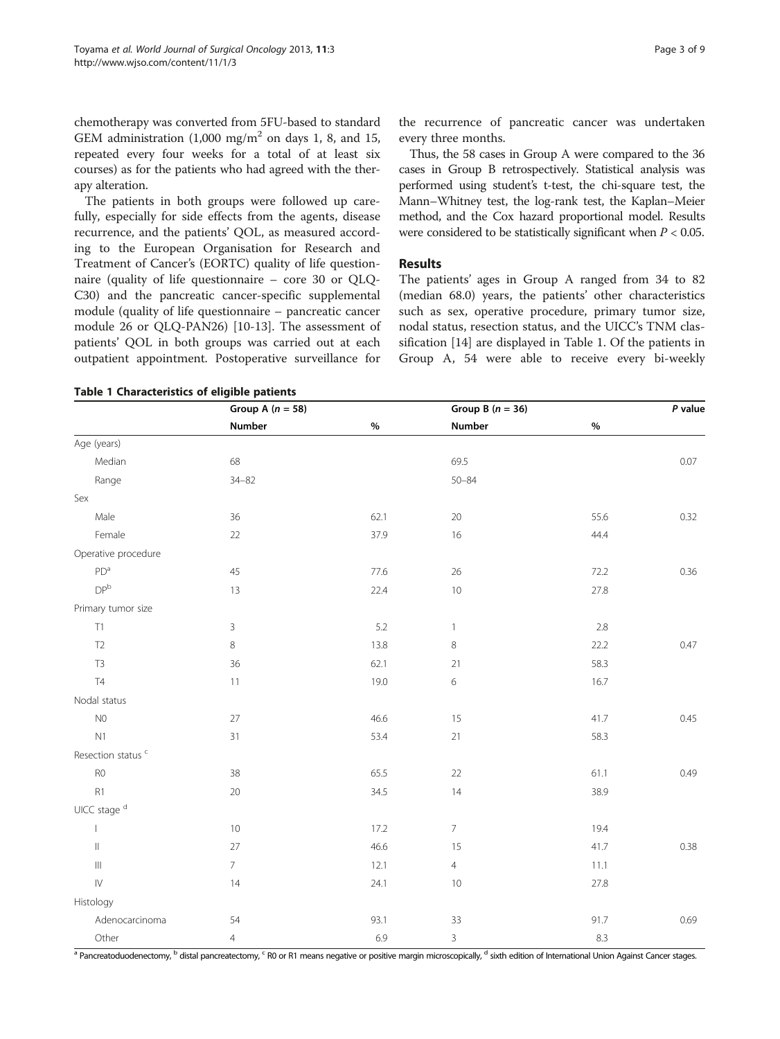<span id="page-2-0"></span>chemotherapy was converted from 5FU-based to standard GEM administration  $(1,000 \text{ mg/m}^2)$  on days 1, 8, and 15, repeated every four weeks for a total of at least six courses) as for the patients who had agreed with the therapy alteration.

The patients in both groups were followed up carefully, especially for side effects from the agents, disease recurrence, and the patients' QOL, as measured according to the European Organisation for Research and Treatment of Cancer's (EORTC) quality of life questionnaire (quality of life questionnaire – core 30 or QLQ-C30) and the pancreatic cancer-specific supplemental module (quality of life questionnaire – pancreatic cancer module 26 or QLQ-PAN26) [\[10](#page-6-0)-[13](#page-6-0)]. The assessment of patients' QOL in both groups was carried out at each outpatient appointment. Postoperative surveillance for

### Table 1 Characteristics of eligible patients

the recurrence of pancreatic cancer was undertaken every three months.

Thus, the 58 cases in Group A were compared to the 36 cases in Group B retrospectively. Statistical analysis was performed using student's t-test, the chi-square test, the Mann–Whitney test, the log-rank test, the Kaplan–Meier method, and the Cox hazard proportional model. Results were considered to be statistically significant when  $P < 0.05$ .

# Results

The patients' ages in Group A ranged from 34 to 82 (median 68.0) years, the patients' other characteristics such as sex, operative procedure, primary tumor size, nodal status, resection status, and the UICC's TNM classification [[14\]](#page-7-0) are displayed in Table 1. Of the patients in Group A, 54 were able to receive every bi-weekly

|                                    | Group A $(n = 58)$ |      | Group B $(n = 36)$ |      | P value |  |
|------------------------------------|--------------------|------|--------------------|------|---------|--|
|                                    | Number             | $\%$ | <b>Number</b>      | $\%$ |         |  |
| Age (years)                        |                    |      |                    |      |         |  |
| Median                             | 68                 |      | 69.5               |      | 0.07    |  |
| Range                              | $34 - 82$          |      | $50 - 84$          |      |         |  |
| Sex                                |                    |      |                    |      |         |  |
| Male                               | 36                 | 62.1 | $20\,$             | 55.6 | 0.32    |  |
| Female                             | 22                 | 37.9 | 16                 | 44.4 |         |  |
| Operative procedure                |                    |      |                    |      |         |  |
| PD <sup>a</sup>                    | 45                 | 77.6 | $26\,$             | 72.2 | 0.36    |  |
| DP <sup>b</sup>                    | 13                 | 22.4 | $10$               | 27.8 |         |  |
| Primary tumor size                 |                    |      |                    |      |         |  |
| T1                                 | 3                  | 5.2  | 1                  | 2.8  |         |  |
| T <sub>2</sub>                     | 8                  | 13.8 | 8                  | 22.2 | 0.47    |  |
| $\mathsf{T3}$                      | 36                 | 62.1 | 21                 | 58.3 |         |  |
| $\mathsf{T}4$                      | 11                 | 19.0 | 6                  | 16.7 |         |  |
| Nodal status                       |                    |      |                    |      |         |  |
| $\rm NO$                           | 27                 | 46.6 | 15                 | 41.7 | 0.45    |  |
| N1                                 | 31                 | 53.4 | 21                 | 58.3 |         |  |
| Resection status <sup>c</sup>      |                    |      |                    |      |         |  |
| ${\sf R0}$                         | 38                 | 65.5 | 22                 | 61.1 | 0.49    |  |
| R1                                 | 20                 | 34.5 | 14                 | 38.9 |         |  |
| UICC stage <sup>d</sup>            |                    |      |                    |      |         |  |
| $\mathbf{L}$                       | $10\,$             | 17.2 | $7\overline{ }$    | 19.4 |         |  |
| $\parallel$                        | 27                 | 46.6 | 15                 | 41.7 | 0.38    |  |
| $\ensuremath{\mathsf{III}}\xspace$ | $\overline{7}$     | 12.1 | $\overline{4}$     | 11.1 |         |  |
| ${\sf IV}$                         | 14                 | 24.1 | $10$               | 27.8 |         |  |
| Histology                          |                    |      |                    |      |         |  |
| Adenocarcinoma                     | 54                 | 93.1 | 33                 | 91.7 | 0.69    |  |
| Other                              | $\overline{4}$     | 6.9  | $\overline{3}$     | 8.3  |         |  |

<sup>a</sup> Pancreatoduodenectomy, <sup>b</sup> distal pancreatectomy, <sup>c</sup> R0 or R1 means negative or positive margin microscopically, <sup>d</sup> sixth edition of International Union Against Cancer stages.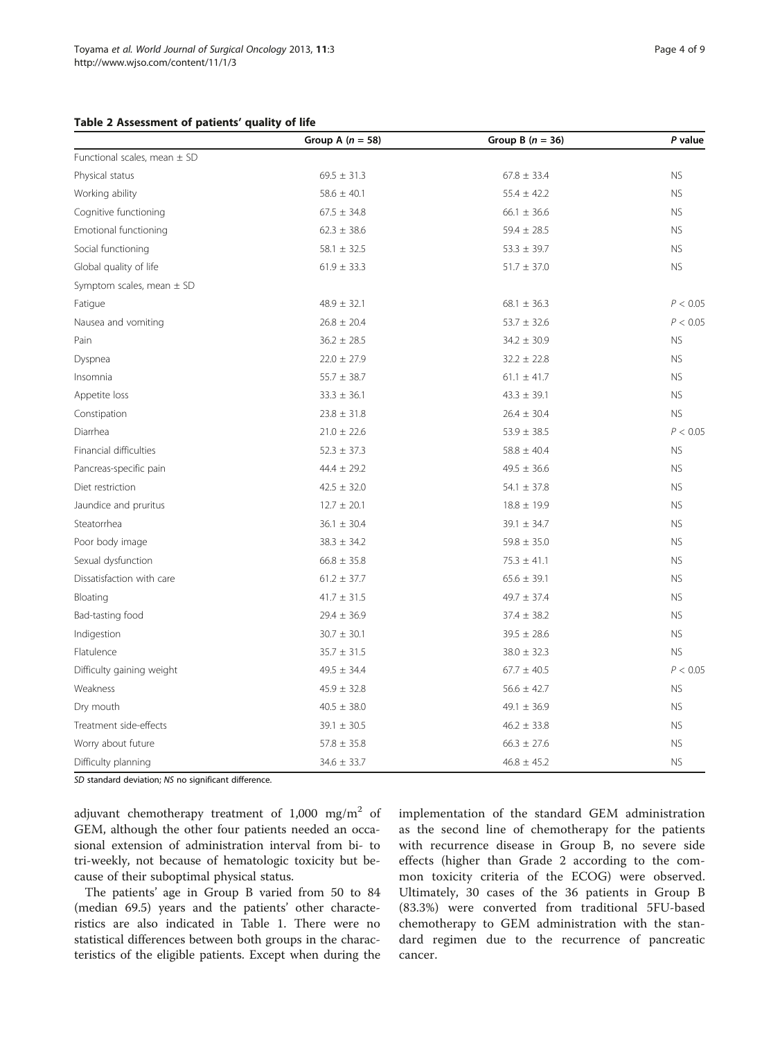### <span id="page-3-0"></span>Table 2 Assessment of patients' quality of life

|                                  | Group A $(n = 58)$ | Group B $(n = 36)$ | P value   |
|----------------------------------|--------------------|--------------------|-----------|
| Functional scales, mean $\pm$ SD |                    |                    |           |
| Physical status                  | $69.5 \pm 31.3$    | $67.8 \pm 33.4$    | <b>NS</b> |
| Working ability                  | $58.6 \pm 40.1$    | $55.4 \pm 42.2$    | <b>NS</b> |
| Cognitive functioning            | $67.5 \pm 34.8$    | $66.1 \pm 36.6$    | <b>NS</b> |
| Emotional functioning            | $62.3 \pm 38.6$    | $59.4 \pm 28.5$    | <b>NS</b> |
| Social functioning               | $58.1 \pm 32.5$    | $53.3 \pm 39.7$    | <b>NS</b> |
| Global quality of life           | $61.9 \pm 33.3$    | $51.7 \pm 37.0$    | <b>NS</b> |
| Symptom scales, mean $\pm$ SD    |                    |                    |           |
| Fatigue                          | $48.9 \pm 32.1$    | $68.1 \pm 36.3$    | P < 0.05  |
| Nausea and vomiting              | $26.8 \pm 20.4$    | $53.7 \pm 32.6$    | P < 0.05  |
| Pain                             | $36.2 \pm 28.5$    | $34.2 \pm 30.9$    | <b>NS</b> |
| Dyspnea                          | $22.0 \pm 27.9$    | $32.2 \pm 22.8$    | <b>NS</b> |
| Insomnia                         | $55.7 \pm 38.7$    | $61.1 \pm 41.7$    | <b>NS</b> |
| Appetite loss                    | $33.3 \pm 36.1$    | $43.3 \pm 39.1$    | <b>NS</b> |
| Constipation                     | $23.8 \pm 31.8$    | $26.4 \pm 30.4$    | <b>NS</b> |
| Diarrhea                         | $21.0 \pm 22.6$    | $53.9 \pm 38.5$    | P < 0.05  |
| Financial difficulties           | $52.3 \pm 37.3$    | $58.8 \pm 40.4$    | <b>NS</b> |
| Pancreas-specific pain           | $44.4 \pm 29.2$    | $49.5 \pm 36.6$    | <b>NS</b> |
| Diet restriction                 | $42.5 \pm 32.0$    | $54.1 \pm 37.8$    | <b>NS</b> |
| Jaundice and pruritus            | $12.7 \pm 20.1$    | $18.8 \pm 19.9$    | <b>NS</b> |
| Steatorrhea                      | $36.1 \pm 30.4$    | $39.1 \pm 34.7$    | <b>NS</b> |
| Poor body image                  | $38.3 \pm 34.2$    | $59.8 \pm 35.0$    | <b>NS</b> |
| Sexual dysfunction               | $66.8 \pm 35.8$    | $75.3 \pm 41.1$    | <b>NS</b> |
| Dissatisfaction with care        | $61.2 \pm 37.7$    | $65.6 \pm 39.1$    | <b>NS</b> |
| Bloating                         | $41.7 \pm 31.5$    | $49.7 \pm 37.4$    | <b>NS</b> |
| Bad-tasting food                 | $29.4 \pm 36.9$    | $37.4 \pm 38.2$    | <b>NS</b> |
| Indigestion                      | $30.7 \pm 30.1$    | $39.5 \pm 28.6$    | <b>NS</b> |
| Flatulence                       | $35.7 \pm 31.5$    | $38.0 \pm 32.3$    | <b>NS</b> |
| Difficulty gaining weight        | $49.5 \pm 34.4$    | $67.7 \pm 40.5$    | P < 0.05  |
| Weakness                         | $45.9 \pm 32.8$    | $56.6 \pm 42.7$    | <b>NS</b> |
| Dry mouth                        | $40.5 \pm 38.0$    | 49.1 $\pm$ 36.9    | <b>NS</b> |
| Treatment side-effects           | $39.1 \pm 30.5$    | $46.2 \pm 33.8$    | <b>NS</b> |
| Worry about future               | $57.8 \pm 35.8$    | $66.3 \pm 27.6$    | <b>NS</b> |
| Difficulty planning              | $34.6 \pm 33.7$    | $46.8 \pm 45.2$    | <b>NS</b> |

SD standard deviation; NS no significant difference.

adjuvant chemotherapy treatment of  $1,000$  mg/m<sup>2</sup> of GEM, although the other four patients needed an occasional extension of administration interval from bi- to tri-weekly, not because of hematologic toxicity but because of their suboptimal physical status.

The patients' age in Group B varied from 50 to 84 (median 69.5) years and the patients' other characteristics are also indicated in Table [1.](#page-2-0) There were no statistical differences between both groups in the characteristics of the eligible patients. Except when during the implementation of the standard GEM administration as the second line of chemotherapy for the patients with recurrence disease in Group B, no severe side effects (higher than Grade 2 according to the common toxicity criteria of the ECOG) were observed. Ultimately, 30 cases of the 36 patients in Group B (83.3%) were converted from traditional 5FU-based chemotherapy to GEM administration with the standard regimen due to the recurrence of pancreatic cancer.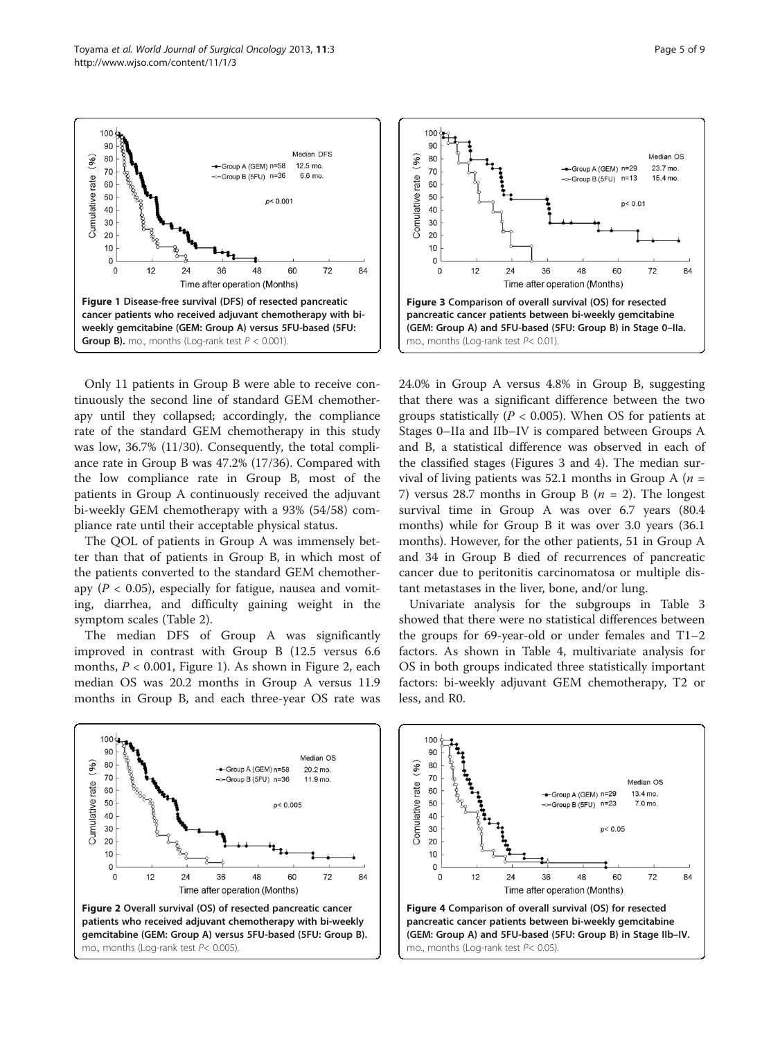

Only 11 patients in Group B were able to receive continuously the second line of standard GEM chemotherapy until they collapsed; accordingly, the compliance rate of the standard GEM chemotherapy in this study was low, 36.7% (11/30). Consequently, the total compliance rate in Group B was 47.2% (17/36). Compared with the low compliance rate in Group B, most of the patients in Group A continuously received the adjuvant bi-weekly GEM chemotherapy with a 93% (54/58) compliance rate until their acceptable physical status.

The QOL of patients in Group A was immensely better than that of patients in Group B, in which most of the patients converted to the standard GEM chemotherapy ( $P < 0.05$ ), especially for fatigue, nausea and vomiting, diarrhea, and difficulty gaining weight in the symptom scales (Table [2](#page-3-0)).

The median DFS of Group A was significantly improved in contrast with Group B (12.5 versus 6.6 months,  $P < 0.001$ , Figure 1). As shown in Figure 2, each median OS was 20.2 months in Group A versus 11.9 months in Group B, and each three-year OS rate was





24.0% in Group A versus 4.8% in Group B, suggesting that there was a significant difference between the two groups statistically ( $P < 0.005$ ). When OS for patients at Stages 0–IIa and IIb–IV is compared between Groups A and B, a statistical difference was observed in each of the classified stages (Figures 3 and 4). The median survival of living patients was 52.1 months in Group A ( $n =$ 7) versus 28.7 months in Group B ( $n = 2$ ). The longest survival time in Group A was over 6.7 years (80.4 months) while for Group B it was over 3.0 years (36.1 months). However, for the other patients, 51 in Group A and 34 in Group B died of recurrences of pancreatic cancer due to peritonitis carcinomatosa or multiple distant metastases in the liver, bone, and/or lung.

Univariate analysis for the subgroups in Table [3](#page-5-0) showed that there were no statistical differences between the groups for 69-year-old or under females and T1–2 factors. As shown in Table [4](#page-5-0), multivariate analysis for OS in both groups indicated three statistically important factors: bi-weekly adjuvant GEM chemotherapy, T2 or less, and R0.

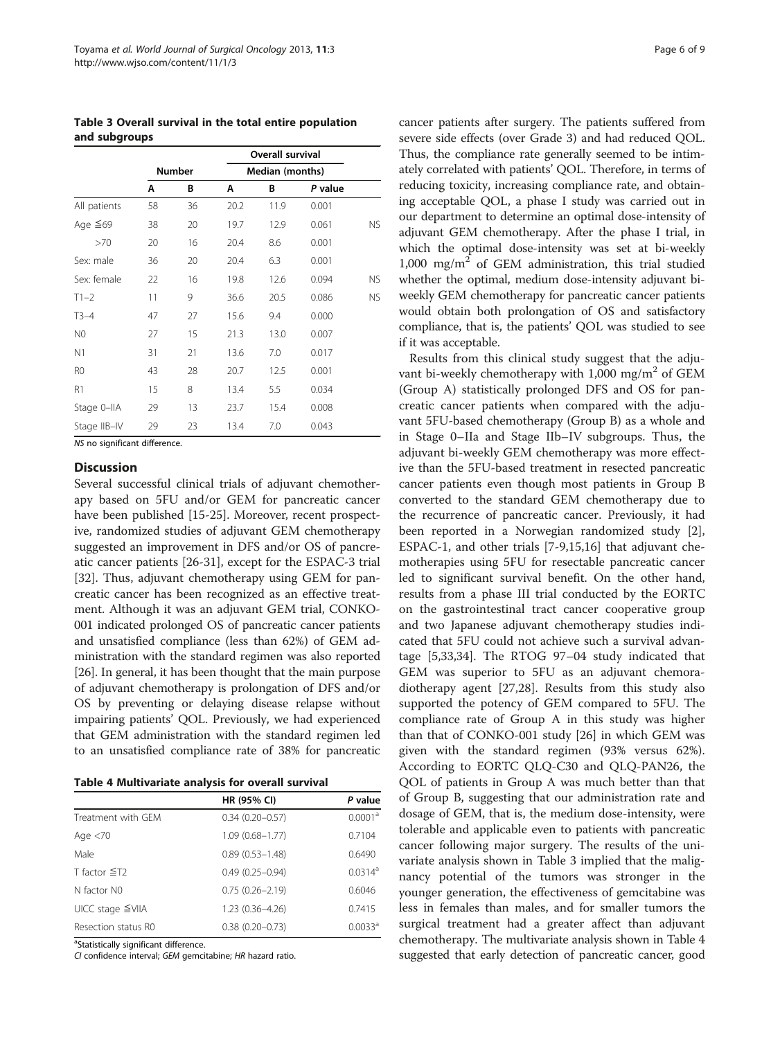<span id="page-5-0"></span>Table 3 Overall survival in the total entire population and subgroups

|                | <b>Overall survival</b> |    |                 |      |         |           |
|----------------|-------------------------|----|-----------------|------|---------|-----------|
|                | <b>Number</b>           |    | Median (months) |      |         |           |
|                | A                       | В  | Α               | В    | P value |           |
| All patients   | 58                      | 36 | 20.2            | 11.9 | 0.001   |           |
| Age $\leq 69$  | 38                      | 20 | 19.7            | 12.9 | 0.061   | <b>NS</b> |
| >70            | 20                      | 16 | 20.4            | 8.6  | 0.001   |           |
| Sex: male      | 36                      | 20 | 20.4            | 6.3  | 0.001   |           |
| Sex: female    | 22                      | 16 | 19.8            | 12.6 | 0.094   | NS.       |
| $T1-2$         | 11                      | 9  | 36.6            | 20.5 | 0.086   | <b>NS</b> |
| $T3-4$         | 47                      | 27 | 15.6            | 9.4  | 0.000   |           |
| N <sub>0</sub> | 27                      | 15 | 21.3            | 13.0 | 0.007   |           |
| N <sub>1</sub> | 31                      | 21 | 13.6            | 7.0  | 0.017   |           |
| R <sub>0</sub> | 43                      | 28 | 20.7            | 12.5 | 0.001   |           |
| R1             | 15                      | 8  | 13.4            | 5.5  | 0.034   |           |
| Stage 0-IIA    | 29                      | 13 | 23.7            | 15.4 | 0.008   |           |
| Stage IIB-IV   | 29                      | 23 | 13.4            | 7.0  | 0.043   |           |

NS no significant difference.

## **Discussion**

Several successful clinical trials of adjuvant chemotherapy based on 5FU and/or GEM for pancreatic cancer have been published [[15-25](#page-7-0)]. Moreover, recent prospective, randomized studies of adjuvant GEM chemotherapy suggested an improvement in DFS and/or OS of pancreatic cancer patients [\[26](#page-7-0)-[31](#page-7-0)], except for the ESPAC-3 trial [[32\]](#page-7-0). Thus, adjuvant chemotherapy using GEM for pancreatic cancer has been recognized as an effective treatment. Although it was an adjuvant GEM trial, CONKO-001 indicated prolonged OS of pancreatic cancer patients and unsatisfied compliance (less than 62%) of GEM administration with the standard regimen was also reported [[26](#page-7-0)]. In general, it has been thought that the main purpose of adjuvant chemotherapy is prolongation of DFS and/or OS by preventing or delaying disease relapse without impairing patients' QOL. Previously, we had experienced that GEM administration with the standard regimen led to an unsatisfied compliance rate of 38% for pancreatic

| Table 4 Multivariate analysis for overall survival |  |  |  |
|----------------------------------------------------|--|--|--|
|----------------------------------------------------|--|--|--|

|                        | HR (95% CI)         | P value               |  |
|------------------------|---------------------|-----------------------|--|
| Treatment with GFM     | $0.34(0.20 - 0.57)$ | 0.0001 <sup>a</sup>   |  |
| Age $<$ 70             | $1.09(0.68 - 1.77)$ | 0.7104                |  |
| Male                   | $0.89(0.53 - 1.48)$ | 0.6490                |  |
| T factor $\leq$ T2     | $0.49(0.25 - 0.94)$ | $0.0314$ <sup>a</sup> |  |
| N factor NO            | $0.75(0.26 - 2.19)$ | 0.6046                |  |
| $UICC stage \leq VIIA$ | 1.23 (0.36-4.26)    | 0.7415                |  |
| Resection status R0    | $0.38(0.20 - 0.73)$ | 0.0033 <sup>a</sup>   |  |

<sup>a</sup>Statistically significant difference.

CI confidence interval; GEM gemcitabine; HR hazard ratio.

cancer patients after surgery. The patients suffered from severe side effects (over Grade 3) and had reduced QOL. Thus, the compliance rate generally seemed to be intimately correlated with patients' QOL. Therefore, in terms of reducing toxicity, increasing compliance rate, and obtaining acceptable QOL, a phase I study was carried out in our department to determine an optimal dose-intensity of adjuvant GEM chemotherapy. After the phase I trial, in which the optimal dose-intensity was set at bi-weekly 1,000 mg/m<sup>2</sup> of GEM administration, this trial studied whether the optimal, medium dose-intensity adjuvant biweekly GEM chemotherapy for pancreatic cancer patients would obtain both prolongation of OS and satisfactory compliance, that is, the patients' QOL was studied to see if it was acceptable.

Results from this clinical study suggest that the adjuvant bi-weekly chemotherapy with 1,000 mg/m<sup>2</sup> of GEM (Group A) statistically prolonged DFS and OS for pancreatic cancer patients when compared with the adjuvant 5FU-based chemotherapy (Group B) as a whole and in Stage 0–IIa and Stage IIb–IV subgroups. Thus, the adjuvant bi-weekly GEM chemotherapy was more effective than the 5FU-based treatment in resected pancreatic cancer patients even though most patients in Group B converted to the standard GEM chemotherapy due to the recurrence of pancreatic cancer. Previously, it had been reported in a Norwegian randomized study [\[2](#page-6-0)], ESPAC-1, and other trials [[7-9](#page-6-0)[,15,16](#page-7-0)] that adjuvant chemotherapies using 5FU for resectable pancreatic cancer led to significant survival benefit. On the other hand, results from a phase III trial conducted by the EORTC on the gastrointestinal tract cancer cooperative group and two Japanese adjuvant chemotherapy studies indicated that 5FU could not achieve such a survival advantage [[5,](#page-6-0)[33,34](#page-7-0)]. The RTOG 97–04 study indicated that GEM was superior to 5FU as an adjuvant chemoradiotherapy agent [[27,28\]](#page-7-0). Results from this study also supported the potency of GEM compared to 5FU. The compliance rate of Group A in this study was higher than that of CONKO-001 study [[26\]](#page-7-0) in which GEM was given with the standard regimen (93% versus 62%). According to EORTC QLQ-C30 and QLQ-PAN26, the QOL of patients in Group A was much better than that of Group B, suggesting that our administration rate and dosage of GEM, that is, the medium dose-intensity, were tolerable and applicable even to patients with pancreatic cancer following major surgery. The results of the univariate analysis shown in Table 3 implied that the malignancy potential of the tumors was stronger in the younger generation, the effectiveness of gemcitabine was less in females than males, and for smaller tumors the surgical treatment had a greater affect than adjuvant chemotherapy. The multivariate analysis shown in Table 4 suggested that early detection of pancreatic cancer, good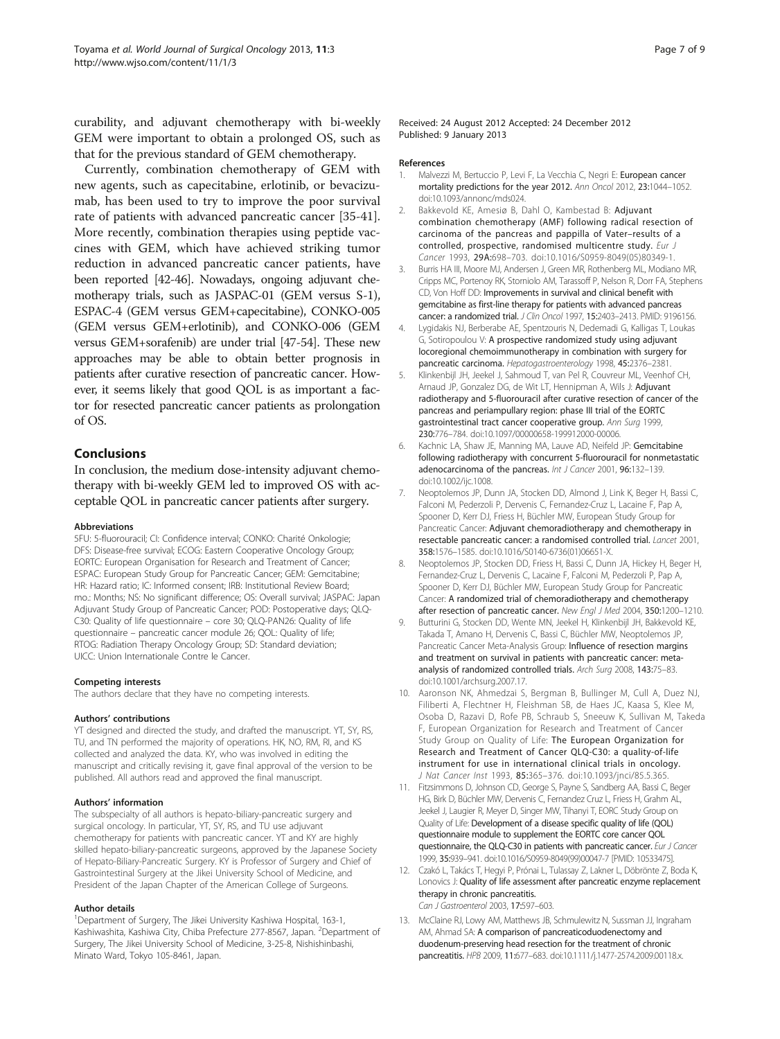<span id="page-6-0"></span>curability, and adjuvant chemotherapy with bi-weekly GEM were important to obtain a prolonged OS, such as that for the previous standard of GEM chemotherapy.

Currently, combination chemotherapy of GEM with new agents, such as capecitabine, erlotinib, or bevacizumab, has been used to try to improve the poor survival rate of patients with advanced pancreatic cancer [\[35](#page-7-0)[-41](#page-8-0)]. More recently, combination therapies using peptide vaccines with GEM, which have achieved striking tumor reduction in advanced pancreatic cancer patients, have been reported [[42](#page-8-0)-[46\]](#page-8-0). Nowadays, ongoing adjuvant chemotherapy trials, such as JASPAC-01 (GEM versus S-1), ESPAC-4 (GEM versus GEM+capecitabine), CONKO-005 (GEM versus GEM+erlotinib), and CONKO-006 (GEM versus GEM+sorafenib) are under trial [\[47](#page-8-0)-[54](#page-8-0)]. These new approaches may be able to obtain better prognosis in patients after curative resection of pancreatic cancer. However, it seems likely that good QOL is as important a factor for resected pancreatic cancer patients as prolongation of OS.

# Conclusions

In conclusion, the medium dose-intensity adjuvant chemotherapy with bi-weekly GEM led to improved OS with acceptable QOL in pancreatic cancer patients after surgery.

#### Abbreviations

5FU: 5-fluorouracil; CI: Confidence interval; CONKO: Charité Onkologie; DFS: Disease-free survival; ECOG: Eastern Cooperative Oncology Group; EORTC: European Organisation for Research and Treatment of Cancer; ESPAC: European Study Group for Pancreatic Cancer; GEM: Gemcitabine; HR: Hazard ratio; IC: Informed consent; IRB: Institutional Review Board; mo.: Months; NS: No significant difference; OS: Overall survival; JASPAC: Japan Adjuvant Study Group of Pancreatic Cancer; POD: Postoperative days; QLQ-C30: Quality of life questionnaire – core 30; QLQ-PAN26: Quality of life questionnaire – pancreatic cancer module 26; QOL: Quality of life; RTOG: Radiation Therapy Oncology Group; SD: Standard deviation; UICC: Union Internationale Contre le Cancer.

#### Competing interests

The authors declare that they have no competing interests.

#### Authors' contributions

YT designed and directed the study, and drafted the manuscript. YT, SY, RS, TU, and TN performed the majority of operations. HK, NO, RM, RI, and KS collected and analyzed the data. KY, who was involved in editing the manuscript and critically revising it, gave final approval of the version to be published. All authors read and approved the final manuscript.

#### Authors' information

The subspecialty of all authors is hepato-biliary-pancreatic surgery and surgical oncology. In particular, YT, SY, RS, and TU use adjuvant chemotherapy for patients with pancreatic cancer. YT and KY are highly skilled hepato-biliary-pancreatic surgeons, approved by the Japanese Society of Hepato-Biliary-Pancreatic Surgery. KY is Professor of Surgery and Chief of Gastrointestinal Surgery at the Jikei University School of Medicine, and President of the Japan Chapter of the American College of Surgeons.

#### Author details

<sup>1</sup>Department of Surgery, The Jikei University Kashiwa Hospital, 163-1, Kashiwashita, Kashiwa City, Chiba Prefecture 277-8567, Japan. <sup>2</sup>Department of Surgery, The Jikei University School of Medicine, 3-25-8, Nishishinbashi, Minato Ward, Tokyo 105-8461, Japan.

Received: 24 August 2012 Accepted: 24 December 2012 Published: 9 January 2013

#### References

- 1. Malvezzi M, Bertuccio P, Levi F, La Vecchia C, Negri E: European cancer mortality predictions for the year 2012. Ann Oncol 2012, 23:1044–1052. doi[:10.1093/annonc/mds024.](http://dx.doi.org/10.1093/annonc/mds024)
- 2. Bakkevold KE, Amesiø B, Dahl O, Kambestad B: Adjuvant combination chemotherapy (AMF) following radical resection of carcinoma of the pancreas and pappilla of Vater–results of a controlled, prospective, randomised multicentre study. Eur J Cancer 1993, 29A:698–703. doi:[10.1016/S0959-8049\(05\)80349-1](http://dx.doi.org/10.1016/S0959-8049(05)80349-1).
- Burris HA III, Moore MJ, Andersen J, Green MR, Rothenberg ML, Modiano MR, Cripps MC, Portenoy RK, Storniolo AM, Tarassoff P, Nelson R, Dorr FA, Stephens CD, Von Hoff DD: Improvements in survival and clinical benefit with gemcitabine as first-line therapy for patients with advanced pancreas cancer: a randomized trial. J Clin Oncol 1997, 15:2403–2413. PMID: 9196156.
- 4. Lygidakis NJ, Berberabe AE, Spentzouris N, Dedemadi G, Kalligas T, Loukas G, Sotiropoulou V: A prospective randomized study using adjuvant locoregional chemoimmunotherapy in combination with surgery for pancreatic carcinoma. Hepatogastroenterology 1998, 45:2376–2381.
- 5. Klinkenbijl JH, Jeekel J, Sahmoud T, van Pel R, Couvreur ML, Veenhof CH, Arnaud JP, Gonzalez DG, de Wit LT, Hennipman A, Wils J: Adjuvant radiotherapy and 5-fluorouracil after curative resection of cancer of the pancreas and periampullary region: phase III trial of the EORTC gastrointestinal tract cancer cooperative group. Ann Surg 1999, 230:776–784. doi:[10.1097/00000658-199912000-00006](http://dx.doi.org/10.1097/00000658-199912000-00006).
- 6. Kachnic LA, Shaw JE, Manning MA, Lauve AD, Neifeld JP: Gemcitabine following radiotherapy with concurrent 5-fluorouracil for nonmetastatic adenocarcinoma of the pancreas. Int J Cancer 2001, 96:132-139. doi[:10.1002/ijc.1008](http://dx.doi.org/10.1002/ijc.1008).
- 7. Neoptolemos JP, Dunn JA, Stocken DD, Almond J, Link K, Beger H, Bassi C, Falconi M, Pederzoli P, Dervenis C, Fernandez-Cruz L, Lacaine F, Pap A, Spooner D, Kerr DJ, Friess H, Büchler MW, European Study Group for Pancreatic Cancer: Adjuvant chemoradiotherapy and chemotherapy in resectable pancreatic cancer: a randomised controlled trial. Lancet 2001, 358:1576–1585. doi:[10.1016/S0140-6736\(01\)06651-X.](http://dx.doi.org/10.1016/S0140-6736(01)06651-X)
- 8. Neoptolemos JP, Stocken DD, Friess H, Bassi C, Dunn JA, Hickey H, Beger H, Fernandez-Cruz L, Dervenis C, Lacaine F, Falconi M, Pederzoli P, Pap A, Spooner D, Kerr DJ, Büchler MW, European Study Group for Pancreatic Cancer: A randomized trial of chemoradiotherapy and chemotherapy after resection of pancreatic cancer. New Engl J Med 2004, 350:1200-1210.
- 9. Butturini G, Stocken DD, Wente MN, Jeekel H, Klinkenbijl JH, Bakkevold KE, Takada T, Amano H, Dervenis C, Bassi C, Büchler MW, Neoptolemos JP, Pancreatic Cancer Meta-Analysis Group: Influence of resection margins and treatment on survival in patients with pancreatic cancer: metaanalysis of randomized controlled trials. Arch Surg 2008, 143:75–83. doi[:10.1001/archsurg.2007.17](http://dx.doi.org/10.1001/archsurg.2007.17).
- 10. Aaronson NK, Ahmedzai S, Bergman B, Bullinger M, Cull A, Duez NJ, Filiberti A, Flechtner H, Fleishman SB, de Haes JC, Kaasa S, Klee M, Osoba D, Razavi D, Rofe PB, Schraub S, Sneeuw K, Sullivan M, Takeda F, European Organization for Research and Treatment of Cancer Study Group on Quality of Life: The European Organization for Research and Treatment of Cancer QLQ-C30: a quality-of-life instrument for use in international clinical trials in oncology. J Nat Cancer Inst 1993, 85:365–376. doi:[10.1093/jnci/85.5.365.](http://dx.doi.org/10.1093/jnci/85.5.365)
- 11. Fitzsimmons D, Johnson CD, George S, Payne S, Sandberg AA, Bassi C, Beger HG, Birk D, Büchler MW, Dervenis C, Fernandez Cruz L, Friess H, Grahm AL, Jeekel J, Laugier R, Meyer D, Singer MW, Tihanyi T, EORC Study Group on Quality of Life: Development of a disease specific quality of life (QOL) questionnaire module to supplement the EORTC core cancer QOL questionnaire, the QLQ-C30 in patients with pancreatic cancer. Eur J Cancer 1999, 35:939–941. doi:[10.1016/S0959-8049\(99\)00047-7 \[PMID: 10533475\]](http://dx.doi.org/10.1016/S0959-8049(99)00047-7 <PMID: 10533475>).
- 12. Czakó L, Takács T, Hegyi P, Prónai L, Tulassay Z, Lakner L, Döbrönte Z, Boda K, Lonovics J: Quality of life assessment after pancreatic enzyme replacement therapy in chronic pancreatitis. Can J Gastroenterol 2003, 17:597–603.
- 13. McClaine RJ, Lowy AM, Matthews JB, Schmulewitz N, Sussman JJ, Ingraham AM, Ahmad SA: A comparison of pancreaticoduodenectomy and duodenum-preserving head resection for the treatment of chronic pancreatitis. HPB 2009, 11:677–683. doi[:10.1111/j.1477-2574.2009.00118.x.](http://dx.doi.org/10.1111/j.1477-2574.2009.00118.x)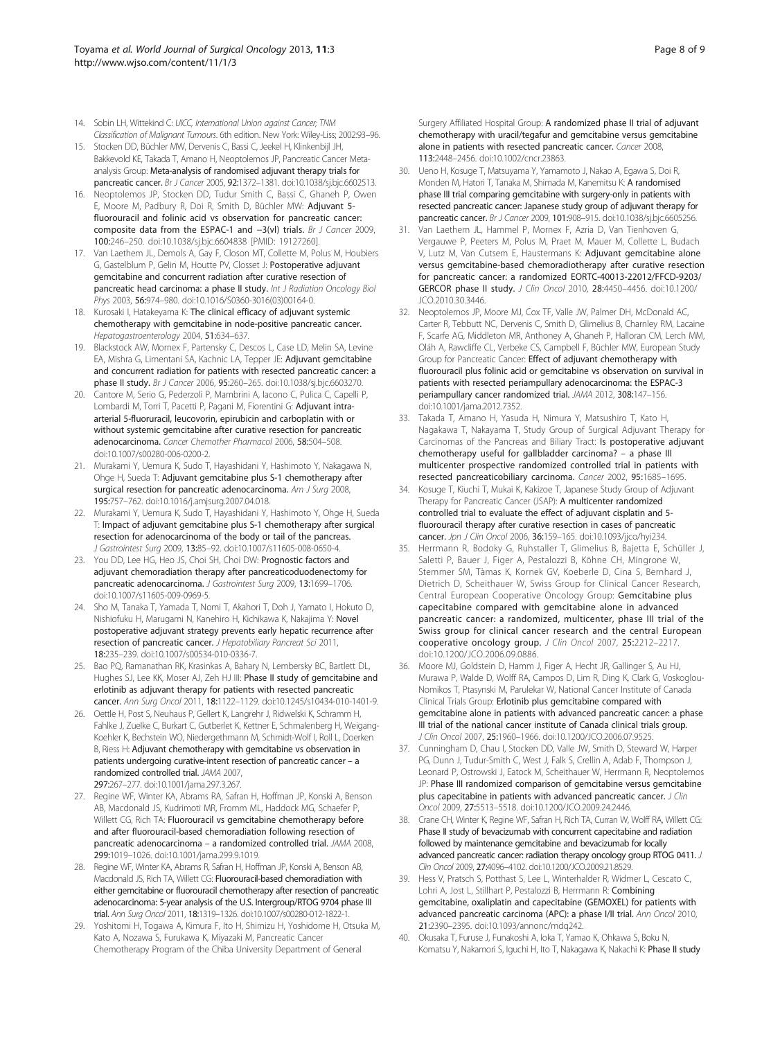- <span id="page-7-0"></span>14. Sobin LH, Wittekind C: UICC, International Union against Cancer; TNM Classification of Malignant Tumours. 6th edition. New York: Wiley-Liss; 2002:93–96.
- 15. Stocken DD, Büchler MW, Dervenis C, Bassi C, Jeekel H, Klinkenbijl JH, Bakkevold KE, Takada T, Amano H, Neoptolemos JP, Pancreatic Cancer Metaanalysis Group: Meta-analysis of randomised adjuvant therapy trials for pancreatic cancer. Br J Cancer 2005, 92:1372–1381. doi[:10.1038/sj.bjc.6602513](http://dx.doi.org/10.1038/sj.bjc.6602513).
- 16. Neoptolemos JP, Stocken DD, Tudur Smith C, Bassi C, Ghaneh P, Owen E, Moore M, Padbury R, Doi R, Smith D, Büchler MW: Adjuvant 5 fluorouracil and folinic acid vs observation for pancreatic cancer: composite data from the ESPAC-1 and −3(vl) trials. Br J Cancer 2009, 100:246–250. doi:[10.1038/sj.bjc.6604838 \[PMID: 19127260\]](http://dx.doi.org/10.1038/sj.bjc.6604838 <PMID: 19127260>).
- 17. Van Laethem JL, Demols A, Gay F, Closon MT, Collette M, Polus M, Houbiers G, Gastelblum P, Gelin M, Houtte PV, Closset J: Postoperative adjuvant gemcitabine and concurrent radiation after curative resection of pancreatic head carcinoma: a phase II study. Int J Radiation Oncology Biol Phys 2003, 56:974–980. doi[:10.1016/S0360-3016\(03\)00164-0](http://dx.doi.org/10.1016/S0360-3016(03)00164-0).
- 18. Kurosaki I, Hatakeyama K: The clinical efficacy of adjuvant systemic chemotherapy with gemcitabine in node-positive pancreatic cancer. Hepatogastroenterology 2004, 51:634–637.
- 19. Blackstock AW, Mornex F, Partensky C, Descos L, Case LD, Melin SA, Levine EA, Mishra G, Limentani SA, Kachnic LA, Tepper JE: Adjuvant gemcitabine and concurrent radiation for patients with resected pancreatic cancer: a phase II study. Br J Cancer 2006, 95:260–265. doi[:10.1038/sj.bjc.6603270](http://dx.doi.org/10.1038/sj.bjc.6603270).
- 20. Cantore M, Serio G, Pederzoli P, Mambrini A, Iacono C, Pulica C, Capelli P, Lombardi M, Torri T, Pacetti P, Pagani M, Fiorentini G: Adjuvant intraarterial 5-fluoruracil, leucovorin, epirubicin and carboplatin with or without systemic gemcitabine after curative resection for pancreatic adenocarcinoma. Cancer Chemother Pharmacol 2006, 58:504–508. doi[:10.1007/s00280-006-0200-2](http://dx.doi.org/10.1007/s00280-006-0200-2).
- 21. Murakami Y, Uemura K, Sudo T, Hayashidani Y, Hashimoto Y, Nakagawa N, Ohge H, Sueda T: Adjuvant gemcitabine plus S-1 chemotherapy after surgical resection for pancreatic adenocarcinoma. Am J Surg 2008, 195:757–762. doi:[10.1016/j.amjsurg.2007.04.018](http://dx.doi.org/10.1016/j.amjsurg.2007.04.018).
- 22. Murakami Y, Uemura K, Sudo T, Hayashidani Y, Hashimoto Y, Ohge H, Sueda T: Impact of adjuvant gemcitabine plus S-1 chemotherapy after surgical resection for adenocarcinoma of the body or tail of the pancreas. J Gastrointest Surg 2009, 13:85–92. doi:[10.1007/s11605-008-0650-4.](http://dx.doi.org/10.1007/s11605-008-0650-4)
- 23. You DD, Lee HG, Heo JS, Choi SH, Choi DW: Prognostic factors and adjuvant chemoradiation therapy after pancreaticoduodenectomy for pancreatic adenocarcinoma. J Gastrointest Surg 2009, 13:1699–1706. doi[:10.1007/s11605-009-0969-5](http://dx.doi.org/10.1007/s11605-009-0969-5).
- 24. Sho M, Tanaka T, Yamada T, Nomi T, Akahori T, Doh J, Yamato I, Hokuto D, Nishiofuku H, Marugami N, Kanehiro H, Kichikawa K, Nakajima Y: Novel postoperative adjuvant strategy prevents early hepatic recurrence after resection of pancreatic cancer. J Hepatobiliary Pancreat Sci 2011, 18:235–239. doi[:10.1007/s00534-010-0336-7](http://dx.doi.org/10.1007/s00534-010-0336-7).
- 25. Bao PQ, Ramanathan RK, Krasinkas A, Bahary N, Lembersky BC, Bartlett DL, Hughes SJ, Lee KK, Moser AJ, Zeh HJ III: Phase II study of gemcitabine and erlotinib as adjuvant therapy for patients with resected pancreatic cancer. Ann Surg Oncol 2011, 18:1122–1129. doi:[10.1245/s10434-010-1401-9.](http://dx.doi.org/10.1245/s10434-010-1401-9)
- 26. Oettle H, Post S, Neuhaus P, Gellert K, Langrehr J, Ridwelski K, Schramm H, Fahlke J, Zuelke C, Burkart C, Gutberlet K, Kettner E, Schmalenberg H, Weigang-Koehler K, Bechstein WO, Niedergethmann M, Schmidt-Wolf I, Roll L, Doerken B, Riess H: Adjuvant chemotherapy with gemcitabine vs observation in patients undergoing curative-intent resection of pancreatic cancer – a randomized controlled trial. JAMA 2007, 297:267–277. doi[:10.1001/jama.297.3.267](http://dx.doi.org/10.1001/jama.297.3.267).
- 27. Regine WF, Winter KA, Abrams RA, Safran H, Hoffman JP, Konski A, Benson AB, Macdonald JS, Kudrimoti MR, Fromm ML, Haddock MG, Schaefer P, Willett CG, Rich TA: Fluorouracil vs gemcitabine chemotherapy before and after fluorouracil-based chemoradiation following resection of pancreatic adenocarcinoma – a randomized controlled trial. JAMA 2008, 299:1019–1026. doi:[10.1001/jama.299.9.1019](http://dx.doi.org/10.1001/jama.299.9.1019).
- 28. Regine WF, Winter KA, Abrams R, Safran H, Hoffman JP, Konski A, Benson AB, Macdonald JS, Rich TA, Willett CG: Fluorouracil-based chemoradiation with either gemcitabine or fluorouracil chemotherapy after resection of pancreatic adenocarcinoma: 5-year analysis of the U.S. Intergroup/RTOG 9704 phase III trial. Ann Surg Oncol 2011, 18:1319–1326. doi[:10.1007/s00280-012-1822-1](http://dx.doi.org/10.1007/s00280-012-1822-1).
- 29. Yoshitomi H, Togawa A, Kimura F, Ito H, Shimizu H, Yoshidome H, Otsuka M, Kato A, Nozawa S, Furukawa K, Miyazaki M, Pancreatic Cancer Chemotherapy Program of the Chiba University Department of General

Surgery Affiliated Hospital Group: A randomized phase II trial of adjuvant chemotherapy with uracil/tegafur and gemcitabine versus gemcitabine alone in patients with resected pancreatic cancer. Cancer 2008, 113:2448–2456. doi:[10.1002/cncr.23863.](http://dx.doi.org/10.1002/cncr.23863)

- 30. Ueno H, Kosuge T, Matsuyama Y, Yamamoto J, Nakao A, Egawa S, Doi R, Monden M, Hatori T, Tanaka M, Shimada M, Kanemitsu K: A randomised phase III trial comparing gemcitabine with surgery-only in patients with resected pancreatic cancer: Japanese study group of adjuvant therapy for pancreatic cancer. Br J Cancer 2009, 101:908–915. doi[:10.1038/sj.bjc.6605256](http://dx.doi.org/10.1038/sj.bjc.6605256).
- 31. Van Laethem JL, Hammel P, Mornex F, Azria D, Van Tienhoven G, Vergauwe P, Peeters M, Polus M, Praet M, Mauer M, Collette L, Budach V, Lutz M, Van Cutsem E, Haustermans K: Adjuvant gemcitabine alone versus gemcitabine-based chemoradiotherapy after curative resection for pancreatic cancer: a randomized EORTC-40013-22012/FFCD-9203/ GERCOR phase II study. J Clin Oncol 2010, 28:4450–4456. doi:[10.1200/](http://dx.doi.org/10.1200/JCO.2010.30.3446) [JCO.2010.30.3446.](http://dx.doi.org/10.1200/JCO.2010.30.3446)
- 32. Neoptolemos JP, Moore MJ, Cox TF, Valle JW, Palmer DH, McDonald AC, Carter R, Tebbutt NC, Dervenis C, Smith D, Glimelius B, Charnley RM, Lacaine F, Scarfe AG, Middleton MR, Anthoney A, Ghaneh P, Halloran CM, Lerch MM, Oláh A, Rawcliffe CL, Verbeke CS, Campbell F, Büchler MW, European Study Group for Pancreatic Cancer: Effect of adjuvant chemotherapy with fluorouracil plus folinic acid or gemcitabine vs observation on survival in patients with resected periampullary adenocarcinoma: the ESPAC-3 periampullary cancer randomized trial. JAMA 2012, 308:147–156. doi[:10.1001/jama.2012.7352](http://dx.doi.org/10.1001/jama.2012.7352).
- 33. Takada T, Amano H, Yasuda H, Nimura Y, Matsushiro T, Kato H, Nagakawa T, Nakayama T, Study Group of Surgical Adjuvant Therapy for Carcinomas of the Pancreas and Biliary Tract: Is postoperative adjuvant chemotherapy useful for gallbladder carcinoma? – a phase III multicenter prospective randomized controlled trial in patients with resected pancreaticobiliary carcinoma. Cancer 2002, 95:1685-1695
- 34. Kosuge T, Kiuchi T, Mukai K, Kakizoe T, Japanese Study Group of Adjuvant Therapy for Pancreatic Cancer (JSAP): A multicenter randomized controlled trial to evaluate the effect of adjuvant cisplatin and 5 fluorouracil therapy after curative resection in cases of pancreatic cancer. Jpn J Clin Oncol 2006, 36:159–165. doi:[10.1093/jjco/hyi234.](http://dx.doi.org/10.1093/jjco/hyi234)
- 35. Herrmann R, Bodoky G, Ruhstaller T, Glimelius B, Bajetta E, Schüller J, Saletti P, Bauer J, Figer A, Pestalozzi B, Köhne CH, Mingrone W, Stemmer SM, Tàmas K, Kornek GV, Koeberle D, Cina S, Bernhard J, Dietrich D, Scheithauer W, Swiss Group for Clinical Cancer Research, Central European Cooperative Oncology Group: Gemcitabine plus capecitabine compared with gemcitabine alone in advanced pancreatic cancer: a randomized, multicenter, phase III trial of the Swiss group for clinical cancer research and the central European cooperative oncology group. J Clin Oncol 2007, 25:2212–2217. doi:[10.1200/JCO.2006.09.0886](http://dx.doi.org/10.1200/JCO.2006.09.0886).
- 36. Moore MJ, Goldstein D, Hamm J, Figer A, Hecht JR, Gallinger S, Au HJ, Murawa P, Walde D, Wolff RA, Campos D, Lim R, Ding K, Clark G, Voskoglou-Nomikos T, Ptasynski M, Parulekar W, National Cancer Institute of Canada Clinical Trials Group: Erlotinib plus gemcitabine compared with gemcitabine alone in patients with advanced pancreatic cancer: a phase III trial of the national cancer institute of Canada clinical trials group. J Clin Oncol 2007, 25:1960–1966. doi:[10.1200/JCO.2006.07.9525.](http://dx.doi.org/10.1200/JCO.2006.07.9525)
- 37. Cunningham D, Chau I, Stocken DD, Valle JW, Smith D, Steward W, Harper PG, Dunn J, Tudur-Smith C, West J, Falk S, Crellin A, Adab F, Thompson J, Leonard P, Ostrowski J, Eatock M, Scheithauer W, Herrmann R, Neoptolemos JP: Phase III randomized comparison of gemcitabine versus gemcitabine plus capecitabine in patients with advanced pancreatic cancer. J Clin Oncol 2009, 27:5513–5518. doi[:10.1200/JCO.2009.24.2446.](http://dx.doi.org/10.1200/JCO.2009.24.2446)
- 38. Crane CH, Winter K, Regine WF, Safran H, Rich TA, Curran W, Wolff RA, Willett CG: Phase II study of bevacizumab with concurrent capecitabine and radiation followed by maintenance gemcitabine and bevacizumab for locally advanced pancreatic cancer: radiation therapy oncology group RTOG 0411. J Clin Oncol 2009, 27:4096–4102. doi:[10.1200/JCO.2009.21.8529](http://dx.doi.org/10.1200/JCO.2009.21.8529).
- 39. Hess V, Pratsch S, Potthast S, Lee L, Winterhalder R, Widmer L, Cescato C, Lohri A, Jost L, Stillhart P, Pestalozzi B, Herrmann R: Combining gemcitabine, oxaliplatin and capecitabine (GEMOXEL) for patients with advanced pancreatic carcinoma (APC): a phase I/II trial. Ann Oncol 2010, 21:2390–2395. doi:[10.1093/annonc/mdq242.](http://dx.doi.org/10.1093/annonc/mdq242)
- 40. Okusaka T, Furuse J, Funakoshi A, Ioka T, Yamao K, Ohkawa S, Boku N, Komatsu Y, Nakamori S, Iguchi H, Ito T, Nakagawa K, Nakachi K: Phase II study